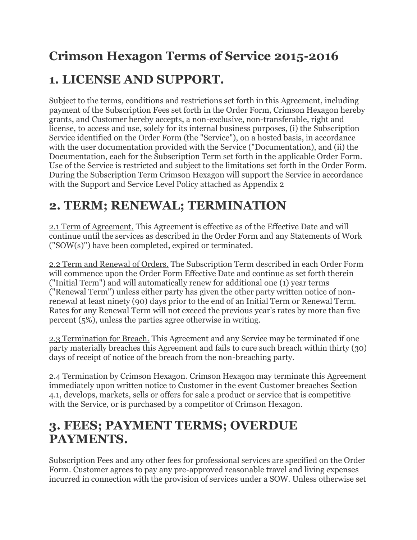## **Crimson Hexagon Terms of Service 2015-2016**

#### **1. LICENSE AND SUPPORT.**

Subject to the terms, conditions and restrictions set forth in this Agreement, including payment of the Subscription Fees set forth in the Order Form, Crimson Hexagon hereby grants, and Customer hereby accepts, a non-exclusive, non-transferable, right and license, to access and use, solely for its internal business purposes, (i) the Subscription Service identified on the Order Form (the "Service"), on a hosted basis, in accordance with the user documentation provided with the Service ("Documentation), and (ii) the Documentation, each for the Subscription Term set forth in the applicable Order Form. Use of the Service is restricted and subject to the limitations set forth in the Order Form. During the Subscription Term Crimson Hexagon will support the Service in accordance with the Support and Service Level Policy attached as Appendix 2

### **2. TERM; RENEWAL; TERMINATION**

2.1 Term of Agreement. This Agreement is effective as of the Effective Date and will continue until the services as described in the Order Form and any Statements of Work ("SOW(s)") have been completed, expired or terminated.

2.2 Term and Renewal of Orders. The Subscription Term described in each Order Form will commence upon the Order Form Effective Date and continue as set forth therein ("Initial Term") and will automatically renew for additional one (1) year terms ("Renewal Term") unless either party has given the other party written notice of nonrenewal at least ninety (90) days prior to the end of an Initial Term or Renewal Term. Rates for any Renewal Term will not exceed the previous year's rates by more than five percent (5%), unless the parties agree otherwise in writing.

2.3 Termination for Breach. This Agreement and any Service may be terminated if one party materially breaches this Agreement and fails to cure such breach within thirty (30) days of receipt of notice of the breach from the non-breaching party.

2.4 Termination by Crimson Hexagon. Crimson Hexagon may terminate this Agreement immediately upon written notice to Customer in the event Customer breaches Section 4.1, develops, markets, sells or offers for sale a product or service that is competitive with the Service, or is purchased by a competitor of Crimson Hexagon.

#### **3. FEES; PAYMENT TERMS; OVERDUE PAYMENTS.**

Subscription Fees and any other fees for professional services are specified on the Order Form. Customer agrees to pay any pre-approved reasonable travel and living expenses incurred in connection with the provision of services under a SOW. Unless otherwise set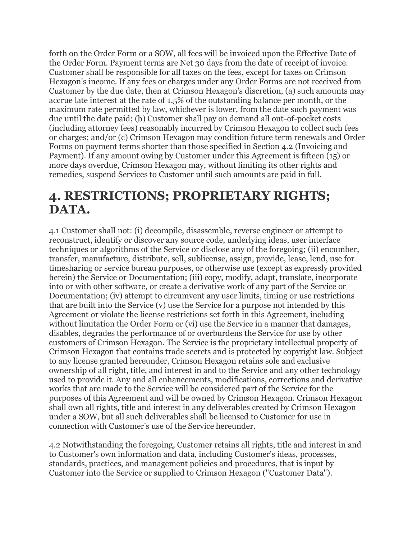forth on the Order Form or a SOW, all fees will be invoiced upon the Effective Date of the Order Form. Payment terms are Net 30 days from the date of receipt of invoice. Customer shall be responsible for all taxes on the fees, except for taxes on Crimson Hexagon's income. If any fees or charges under any Order Forms are not received from Customer by the due date, then at Crimson Hexagon's discretion, (a) such amounts may accrue late interest at the rate of 1.5% of the outstanding balance per month, or the maximum rate permitted by law, whichever is lower, from the date such payment was due until the date paid; (b) Customer shall pay on demand all out-of-pocket costs (including attorney fees) reasonably incurred by Crimson Hexagon to collect such fees or charges; and/or (c) Crimson Hexagon may condition future term renewals and Order Forms on payment terms shorter than those specified in Section 4.2 (Invoicing and Payment). If any amount owing by Customer under this Agreement is fifteen (15) or more days overdue, Crimson Hexagon may, without limiting its other rights and remedies, suspend Services to Customer until such amounts are paid in full.

#### **4. RESTRICTIONS; PROPRIETARY RIGHTS; DATA.**

4.1 Customer shall not: (i) decompile, disassemble, reverse engineer or attempt to reconstruct, identify or discover any source code, underlying ideas, user interface techniques or algorithms of the Service or disclose any of the foregoing; (ii) encumber, transfer, manufacture, distribute, sell, sublicense, assign, provide, lease, lend, use for timesharing or service bureau purposes, or otherwise use (except as expressly provided herein) the Service or Documentation; (iii) copy, modify, adapt, translate, incorporate into or with other software, or create a derivative work of any part of the Service or Documentation; (iv) attempt to circumvent any user limits, timing or use restrictions that are built into the Service (v) use the Service for a purpose not intended by this Agreement or violate the license restrictions set forth in this Agreement, including without limitation the Order Form or (vi) use the Service in a manner that damages, disables, degrades the performance of or overburdens the Service for use by other customers of Crimson Hexagon. The Service is the proprietary intellectual property of Crimson Hexagon that contains trade secrets and is protected by copyright law. Subject to any license granted hereunder, Crimson Hexagon retains sole and exclusive ownership of all right, title, and interest in and to the Service and any other technology used to provide it. Any and all enhancements, modifications, corrections and derivative works that are made to the Service will be considered part of the Service for the purposes of this Agreement and will be owned by Crimson Hexagon. Crimson Hexagon shall own all rights, title and interest in any deliverables created by Crimson Hexagon under a SOW, but all such deliverables shall be licensed to Customer for use in connection with Customer's use of the Service hereunder.

4.2 Notwithstanding the foregoing, Customer retains all rights, title and interest in and to Customer's own information and data, including Customer's ideas, processes, standards, practices, and management policies and procedures, that is input by Customer into the Service or supplied to Crimson Hexagon ("Customer Data").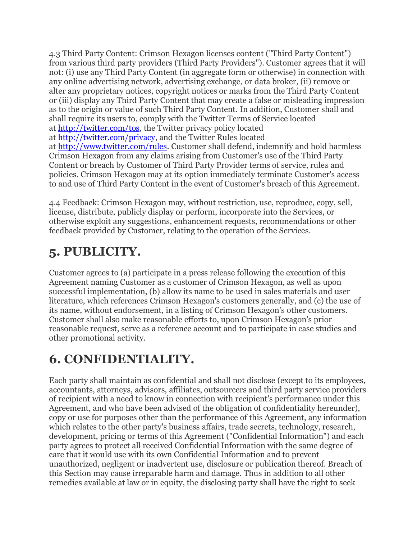4.3 Third Party Content: Crimson Hexagon licenses content ("Third Party Content") from various third party providers (Third Party Providers"). Customer agrees that it will not: (i) use any Third Party Content (in aggregate form or otherwise) in connection with any online advertising network, advertising exchange, or data broker, (ii) remove or alter any proprietary notices, copyright notices or marks from the Third Party Content or (iii) display any Third Party Content that may create a false or misleading impression as to the origin or value of such Third Party Content. In addition, Customer shall and shall require its users to, comply with the Twitter Terms of Service located at [http://twitter.com/tos,](http://twitter.com/tos) the Twitter privacy policy located at [http://twitter.com/privacy,](http://twitter.com/privacy) and the Twitter Rules located at [http://www.twitter.com/rules.](http://www.twitter.com/rules) Customer shall defend, indemnify and hold harmless Crimson Hexagon from any claims arising from Customer's use of the Third Party Content or breach by Customer of Third Party Provider terms of service, rules and policies. Crimson Hexagon may at its option immediately terminate Customer's access to and use of Third Party Content in the event of Customer's breach of this Agreement.

4.4 Feedback: Crimson Hexagon may, without restriction, use, reproduce, copy, sell, license, distribute, publicly display or perform, incorporate into the Services, or otherwise exploit any suggestions, enhancement requests, recommendations or other feedback provided by Customer, relating to the operation of the Services.

### **5. PUBLICITY.**

Customer agrees to (a) participate in a press release following the execution of this Agreement naming Customer as a customer of Crimson Hexagon, as well as upon successful implementation, (b) allow its name to be used in sales materials and user literature, which references Crimson Hexagon's customers generally, and (c) the use of its name, without endorsement, in a listing of Crimson Hexagon's other customers. Customer shall also make reasonable efforts to, upon Crimson Hexagon's prior reasonable request, serve as a reference account and to participate in case studies and other promotional activity.

## **6. CONFIDENTIALITY.**

Each party shall maintain as confidential and shall not disclose (except to its employees, accountants, attorneys, advisors, affiliates, outsourcers and third party service providers of recipient with a need to know in connection with recipient's performance under this Agreement, and who have been advised of the obligation of confidentiality hereunder), copy or use for purposes other than the performance of this Agreement, any information which relates to the other party's business affairs, trade secrets, technology, research, development, pricing or terms of this Agreement ("Confidential Information") and each party agrees to protect all received Confidential Information with the same degree of care that it would use with its own Confidential Information and to prevent unauthorized, negligent or inadvertent use, disclosure or publication thereof. Breach of this Section may cause irreparable harm and damage. Thus in addition to all other remedies available at law or in equity, the disclosing party shall have the right to seek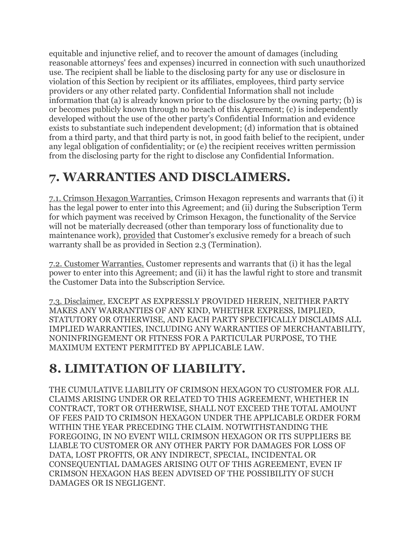equitable and injunctive relief, and to recover the amount of damages (including reasonable attorneys' fees and expenses) incurred in connection with such unauthorized use. The recipient shall be liable to the disclosing party for any use or disclosure in violation of this Section by recipient or its affiliates, employees, third party service providers or any other related party. Confidential Information shall not include information that (a) is already known prior to the disclosure by the owning party; (b) is or becomes publicly known through no breach of this Agreement; (c) is independently developed without the use of the other party's Confidential Information and evidence exists to substantiate such independent development; (d) information that is obtained from a third party, and that third party is not, in good faith belief to the recipient, under any legal obligation of confidentiality; or (e) the recipient receives written permission from the disclosing party for the right to disclose any Confidential Information.

#### **7. WARRANTIES AND DISCLAIMERS.**

7.1. Crimson Hexagon Warranties. Crimson Hexagon represents and warrants that (i) it has the legal power to enter into this Agreement; and (ii) during the Subscription Term for which payment was received by Crimson Hexagon, the functionality of the Service will not be materially decreased (other than temporary loss of functionality due to maintenance work), provided that Customer's exclusive remedy for a breach of such warranty shall be as provided in Section 2.3 (Termination).

7.2. Customer Warranties. Customer represents and warrants that (i) it has the legal power to enter into this Agreement; and (ii) it has the lawful right to store and transmit the Customer Data into the Subscription Service.

7.3. Disclaimer. EXCEPT AS EXPRESSLY PROVIDED HEREIN, NEITHER PARTY MAKES ANY WARRANTIES OF ANY KIND, WHETHER EXPRESS, IMPLIED, STATUTORY OR OTHERWISE, AND EACH PARTY SPECIFICALLY DISCLAIMS ALL IMPLIED WARRANTIES, INCLUDING ANY WARRANTIES OF MERCHANTABILITY, NONINFRINGEMENT OR FITNESS FOR A PARTICULAR PURPOSE, TO THE MAXIMUM EXTENT PERMITTED BY APPLICABLE LAW.

## **8. LIMITATION OF LIABILITY.**

THE CUMULATIVE LIABILITY OF CRIMSON HEXAGON TO CUSTOMER FOR ALL CLAIMS ARISING UNDER OR RELATED TO THIS AGREEMENT, WHETHER IN CONTRACT, TORT OR OTHERWISE, SHALL NOT EXCEED THE TOTAL AMOUNT OF FEES PAID TO CRIMSON HEXAGON UNDER THE APPLICABLE ORDER FORM WITHIN THE YEAR PRECEDING THE CLAIM. NOTWITHSTANDING THE FOREGOING, IN NO EVENT WILL CRIMSON HEXAGON OR ITS SUPPLIERS BE LIABLE TO CUSTOMER OR ANY OTHER PARTY FOR DAMAGES FOR LOSS OF DATA, LOST PROFITS, OR ANY INDIRECT, SPECIAL, INCIDENTAL OR CONSEQUENTIAL DAMAGES ARISING OUT OF THIS AGREEMENT, EVEN IF CRIMSON HEXAGON HAS BEEN ADVISED OF THE POSSIBILITY OF SUCH DAMAGES OR IS NEGLIGENT.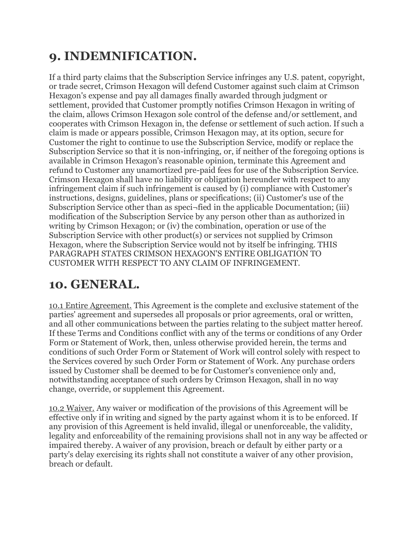## **9. INDEMNIFICATION.**

If a third party claims that the Subscription Service infringes any U.S. patent, copyright, or trade secret, Crimson Hexagon will defend Customer against such claim at Crimson Hexagon's expense and pay all damages finally awarded through judgment or settlement, provided that Customer promptly notifies Crimson Hexagon in writing of the claim, allows Crimson Hexagon sole control of the defense and/or settlement, and cooperates with Crimson Hexagon in, the defense or settlement of such action. If such a claim is made or appears possible, Crimson Hexagon may, at its option, secure for Customer the right to continue to use the Subscription Service, modify or replace the Subscription Service so that it is non-infringing, or, if neither of the foregoing options is available in Crimson Hexagon's reasonable opinion, terminate this Agreement and refund to Customer any unamortized pre-paid fees for use of the Subscription Service. Crimson Hexagon shall have no liability or obligation hereunder with respect to any infringement claim if such infringement is caused by (i) compliance with Customer's instructions, designs, guidelines, plans or specifications; (ii) Customer's use of the Subscription Service other than as speci¬fied in the applicable Documentation; (iii) modification of the Subscription Service by any person other than as authorized in writing by Crimson Hexagon; or (iv) the combination, operation or use of the Subscription Service with other product(s) or services not supplied by Crimson Hexagon, where the Subscription Service would not by itself be infringing. THIS PARAGRAPH STATES CRIMSON HEXAGON'S ENTIRE OBLIGATION TO CUSTOMER WITH RESPECT TO ANY CLAIM OF INFRINGEMENT.

#### **10. GENERAL.**

10.1 Entire Agreement. This Agreement is the complete and exclusive statement of the parties' agreement and supersedes all proposals or prior agreements, oral or written, and all other communications between the parties relating to the subject matter hereof. If these Terms and Conditions conflict with any of the terms or conditions of any Order Form or Statement of Work, then, unless otherwise provided herein, the terms and conditions of such Order Form or Statement of Work will control solely with respect to the Services covered by such Order Form or Statement of Work. Any purchase orders issued by Customer shall be deemed to be for Customer's convenience only and, notwithstanding acceptance of such orders by Crimson Hexagon, shall in no way change, override, or supplement this Agreement.

10.2 Waiver. Any waiver or modification of the provisions of this Agreement will be effective only if in writing and signed by the party against whom it is to be enforced. If any provision of this Agreement is held invalid, illegal or unenforceable, the validity, legality and enforceability of the remaining provisions shall not in any way be affected or impaired thereby. A waiver of any provision, breach or default by either party or a party's delay exercising its rights shall not constitute a waiver of any other provision, breach or default.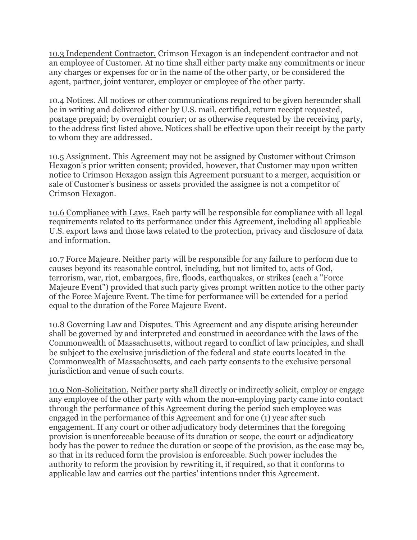10.3 Independent Contractor. Crimson Hexagon is an independent contractor and not an employee of Customer. At no time shall either party make any commitments or incur any charges or expenses for or in the name of the other party, or be considered the agent, partner, joint venturer, employer or employee of the other party.

10.4 Notices. All notices or other communications required to be given hereunder shall be in writing and delivered either by U.S. mail, certified, return receipt requested, postage prepaid; by overnight courier; or as otherwise requested by the receiving party, to the address first listed above. Notices shall be effective upon their receipt by the party to whom they are addressed.

10.5 Assignment. This Agreement may not be assigned by Customer without Crimson Hexagon's prior written consent; provided, however, that Customer may upon written notice to Crimson Hexagon assign this Agreement pursuant to a merger, acquisition or sale of Customer's business or assets provided the assignee is not a competitor of Crimson Hexagon.

10.6 Compliance with Laws. Each party will be responsible for compliance with all legal requirements related to its performance under this Agreement, including all applicable U.S. export laws and those laws related to the protection, privacy and disclosure of data and information.

10.7 Force Majeure. Neither party will be responsible for any failure to perform due to causes beyond its reasonable control, including, but not limited to, acts of God, terrorism, war, riot, embargoes, fire, floods, earthquakes, or strikes (each a "Force Majeure Event") provided that such party gives prompt written notice to the other party of the Force Majeure Event. The time for performance will be extended for a period equal to the duration of the Force Majeure Event.

10.8 Governing Law and Disputes. This Agreement and any dispute arising hereunder shall be governed by and interpreted and construed in accordance with the laws of the Commonwealth of Massachusetts, without regard to conflict of law principles, and shall be subject to the exclusive jurisdiction of the federal and state courts located in the Commonwealth of Massachusetts, and each party consents to the exclusive personal jurisdiction and venue of such courts.

10.9 Non-Solicitation. Neither party shall directly or indirectly solicit, employ or engage any employee of the other party with whom the non-employing party came into contact through the performance of this Agreement during the period such employee was engaged in the performance of this Agreement and for one (1) year after such engagement. If any court or other adjudicatory body determines that the foregoing provision is unenforceable because of its duration or scope, the court or adjudicatory body has the power to reduce the duration or scope of the provision, as the case may be, so that in its reduced form the provision is enforceable. Such power includes the authority to reform the provision by rewriting it, if required, so that it conforms to applicable law and carries out the parties' intentions under this Agreement.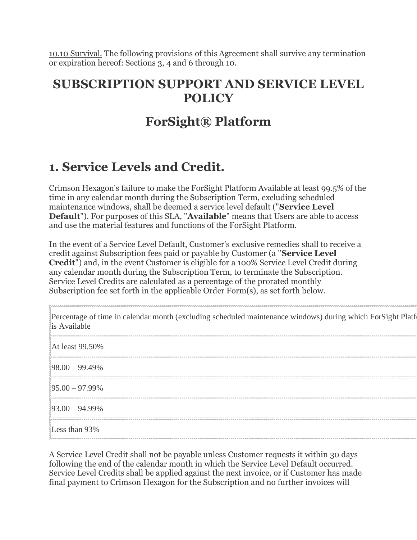10.10 Survival. The following provisions of this Agreement shall survive any termination or expiration hereof: Sections 3, 4 and 6 through 10.

#### **SUBSCRIPTION SUPPORT AND SERVICE LEVEL POLICY**

#### **ForSight® Platform**

### **1. Service Levels and Credit.**

Crimson Hexagon's failure to make the ForSight Platform Available at least 99.5% of the time in any calendar month during the Subscription Term, excluding scheduled maintenance windows, shall be deemed a service level default ("**Service Level Default**"). For purposes of this SLA, "**Available**" means that Users are able to access and use the material features and functions of the ForSight Platform.

In the event of a Service Level Default, Customer's exclusive remedies shall to receive a credit against Subscription fees paid or payable by Customer (a "**Service Level Credit**") and, in the event Customer is eligible for a 100% Service Level Credit during any calendar month during the Subscription Term, to terminate the Subscription. Service Level Credits are calculated as a percentage of the prorated monthly Subscription fee set forth in the applicable Order Form(s), as set forth below.

| Percentage of time in calendar month (excluding scheduled maintenance windows) during which ForSight Platf<br>is Available |
|----------------------------------------------------------------------------------------------------------------------------|
| At least 99.50%                                                                                                            |
| $98.00 - 99.49\%$                                                                                                          |
| $95.00 - 97.99\%$                                                                                                          |
| $93.00 - 94.99\%$                                                                                                          |
| Less than 93%                                                                                                              |

A Service Level Credit shall not be payable unless Customer requests it within 30 days following the end of the calendar month in which the Service Level Default occurred. Service Level Credits shall be applied against the next invoice, or if Customer has made final payment to Crimson Hexagon for the Subscription and no further invoices will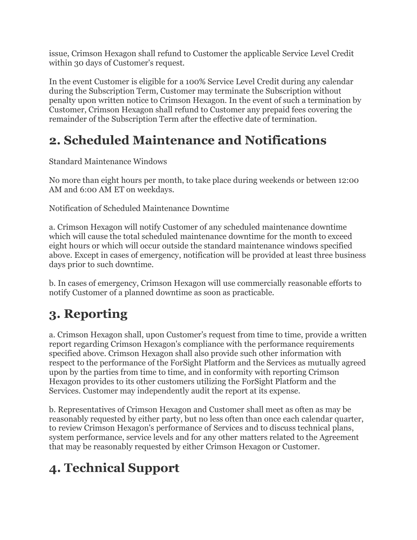issue, Crimson Hexagon shall refund to Customer the applicable Service Level Credit within 30 days of Customer's request.

In the event Customer is eligible for a 100% Service Level Credit during any calendar during the Subscription Term, Customer may terminate the Subscription without penalty upon written notice to Crimson Hexagon. In the event of such a termination by Customer, Crimson Hexagon shall refund to Customer any prepaid fees covering the remainder of the Subscription Term after the effective date of termination.

### **2. Scheduled Maintenance and Notifications**

Standard Maintenance Windows

No more than eight hours per month, to take place during weekends or between 12:00 AM and 6:00 AM ET on weekdays.

Notification of Scheduled Maintenance Downtime

a. Crimson Hexagon will notify Customer of any scheduled maintenance downtime which will cause the total scheduled maintenance downtime for the month to exceed eight hours or which will occur outside the standard maintenance windows specified above. Except in cases of emergency, notification will be provided at least three business days prior to such downtime.

b. In cases of emergency, Crimson Hexagon will use commercially reasonable efforts to notify Customer of a planned downtime as soon as practicable.

# **3. Reporting**

a. Crimson Hexagon shall, upon Customer's request from time to time, provide a written report regarding Crimson Hexagon's compliance with the performance requirements specified above. Crimson Hexagon shall also provide such other information with respect to the performance of the ForSight Platform and the Services as mutually agreed upon by the parties from time to time, and in conformity with reporting Crimson Hexagon provides to its other customers utilizing the ForSight Platform and the Services. Customer may independently audit the report at its expense.

b. Representatives of Crimson Hexagon and Customer shall meet as often as may be reasonably requested by either party, but no less often than once each calendar quarter, to review Crimson Hexagon's performance of Services and to discuss technical plans, system performance, service levels and for any other matters related to the Agreement that may be reasonably requested by either Crimson Hexagon or Customer.

# **4. Technical Support**